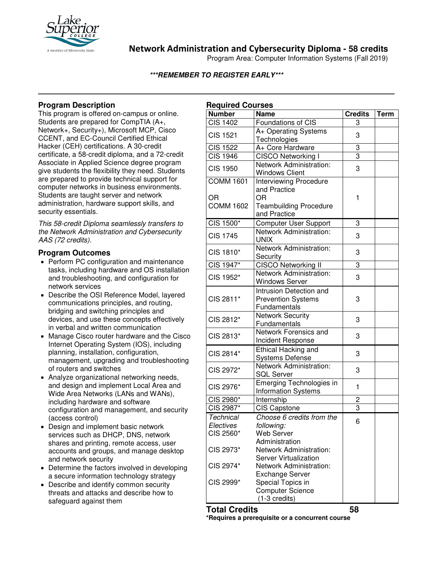

**Network Administration and Cybersecurity Diploma - 58 credits**

Program Area: Computer Information Systems (Fall 2019)

## **\*\*\*REMEMBER TO REGISTER EARLY\*\*\***

# **Program Description**

This program is offered on-campus or online. Students are prepared for CompTIA (A+, Network+, Security+), Microsoft MCP, Cisco CCENT, and EC-Council Certified Ethical Hacker (CEH) certifications. A 30-credit certificate, a 58-credit diploma, and a 72-credit Associate in Applied Science degree program give students the flexibility they need. Students are prepared to provide technical support for computer networks in business environments. Students are taught server and network administration, hardware support skills, and security essentials.

*This 58-credit Diploma seamlessly transfers to the Network Administration and Cybersecurity AAS (72 credits).*

# **Program Outcomes**

- Perform PC configuration and maintenance tasks, including hardware and OS installation and troubleshooting, and configuration for network services
- Describe the OSI Reference Model, layered communications principles, and routing, bridging and switching principles and devices, and use these concepts effectively in verbal and written communication
- Manage Cisco router hardware and the Cisco Internet Operating System (IOS), including planning, installation, configuration, management, upgrading and troubleshooting of routers and switches
- Analyze organizational networking needs, and design and implement Local Area and Wide Area Networks (LANs and WANs), including hardware and software configuration and management, and security (access control)
- Design and implement basic network services such as DHCP, DNS, network shares and printing, remote access, user accounts and groups, and manage desktop and network security
- Determine the factors involved in developing a secure information technology strategy
- Describe and identify common security threats and attacks and describe how to safeguard against them

| <b>Required Courses</b> |                               |                |             |
|-------------------------|-------------------------------|----------------|-------------|
| <b>Number</b>           | <b>Name</b>                   | <b>Credits</b> | <b>Term</b> |
| <b>CIS 1402</b>         | Foundations of CIS            | 3              |             |
| <b>CIS 1521</b>         | A+ Operating Systems          | 3              |             |
|                         | Technologies                  |                |             |
| <b>CIS 1522</b>         | A+ Core Hardware              | 3              |             |
| <b>CIS 1946</b>         | CISCO Networking I            | $\overline{3}$ |             |
| <b>CIS 1950</b>         | Network Administration:       | 3              |             |
|                         | <b>Windows Client</b>         |                |             |
| <b>COMM 1601</b>        | <b>Interviewing Procedure</b> |                |             |
|                         | and Practice                  |                |             |
| OR                      | <b>OR</b>                     | 1              |             |
| <b>COMM 1602</b>        | <b>Teambuilding Procedure</b> |                |             |
|                         | and Practice                  |                |             |
| CIS 1500*               | <b>Computer User Support</b>  | 3              |             |
| <b>CIS 1745</b>         | Network Administration:       | 3              |             |
|                         | <b>UNIX</b>                   |                |             |
| CIS 1810*               | Network Administration:       | 3              |             |
|                         | Security                      |                |             |
| CIS 1947*               | CISCO Networking II           | 3              |             |
| CIS 1952*               | Network Administration:       | 3              |             |
|                         | <b>Windows Server</b>         |                |             |
| CIS 2811*               | Intrusion Detection and       |                |             |
|                         | <b>Prevention Systems</b>     | 3              |             |
|                         | Fundamentals                  |                |             |
| CIS 2812*               | <b>Network Security</b>       | 3              |             |
|                         | Fundamentals                  |                |             |
| CIS 2813*               | Network Forensics and         | 3              |             |
|                         | Incident Response             |                |             |
| CIS 2814*               | Ethical Hacking and           | 3              |             |
|                         | <b>Systems Defense</b>        |                |             |
| CIS 2972*               | Network Administration:       | 3              |             |
|                         | <b>SQL Server</b>             |                |             |
| CIS 2976*               | Emerging Technologies in      | 1              |             |
|                         | <b>Information Systems</b>    |                |             |
| CIS 2980*               | Internship                    | $\overline{c}$ |             |
| CIS 2987*               | <b>CIS Capstone</b>           | $\overline{3}$ |             |
| Technical               | Choose 6 credits from the     | 6              |             |
| Electives               | following:                    |                |             |
| CIS 2560*               | <b>Web Server</b>             |                |             |
|                         | Administration                |                |             |
| CIS 2973*               | Network Administration:       |                |             |
|                         | <b>Server Virtualization</b>  |                |             |
| CIS 2974*               | Network Administration:       |                |             |
|                         | <b>Exchange Server</b>        |                |             |
| CIS 2999*               | Special Topics in             |                |             |
|                         | <b>Computer Science</b>       |                |             |
|                         | $(1-3 \text{ credits})$       |                |             |

**Total Credits 58**

**\*Requires a prerequisite or a concurrent course**